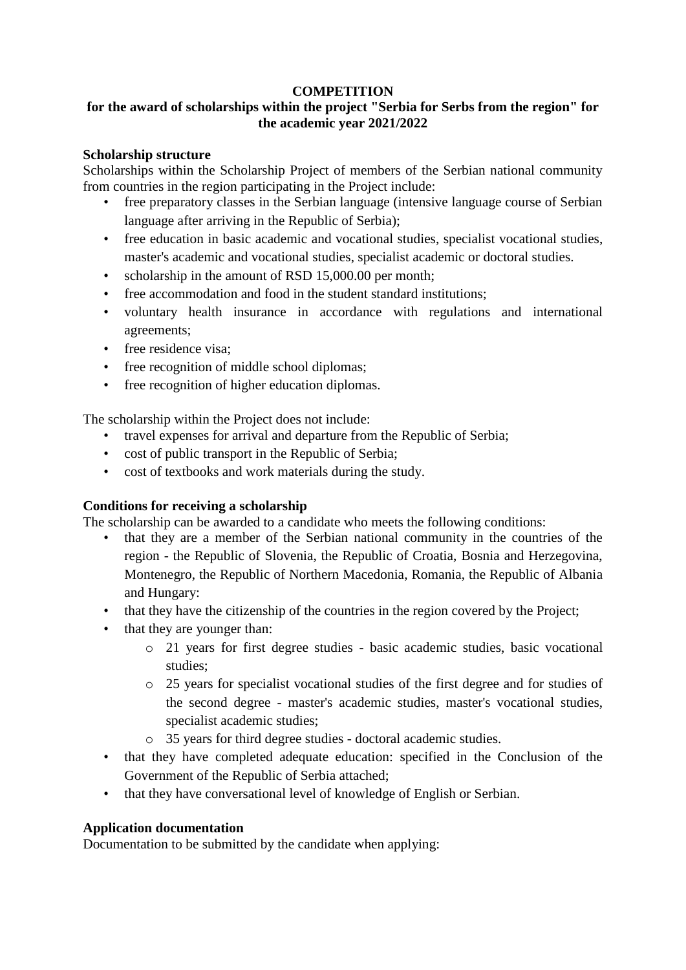#### **COMPETITION**

# **for the award of scholarships within the project "Serbia for Serbs from the region" for the academic year 2021/2022**

#### **Scholarship structure**

Scholarships within the Scholarship Project of members of the Serbian national community from countries in the region participating in the Project include:

- free preparatory classes in the Serbian language (intensive language course of Serbian language after arriving in the Republic of Serbia);
- free education in basic academic and vocational studies, specialist vocational studies, master's academic and vocational studies, specialist academic or doctoral studies.
- scholarship in the amount of RSD 15,000.00 per month;
- free accommodation and food in the student standard institutions;
- voluntary health insurance in accordance with regulations and international agreements;
- free residence visa:
- free recognition of middle school diplomas;
- free recognition of higher education diplomas.

The scholarship within the Project does not include:

- travel expenses for arrival and departure from the Republic of Serbia;
- cost of public transport in the Republic of Serbia;
- cost of textbooks and work materials during the study.

## **Conditions for receiving a scholarship**

The scholarship can be awarded to a candidate who meets the following conditions:

- that they are a member of the Serbian national community in the countries of the region - the Republic of Slovenia, the Republic of Croatia, Bosnia and Herzegovina, Montenegro, the Republic of Northern Macedonia, Romania, the Republic of Albania and Hungary:
- that they have the citizenship of the countries in the region covered by the Project;
- that they are younger than:
	- o 21 years for first degree studies basic academic studies, basic vocational studies;
	- o 25 years for specialist vocational studies of the first degree and for studies of the second degree - master's academic studies, master's vocational studies, specialist academic studies;
	- o 35 years for third degree studies doctoral academic studies.
- that they have completed adequate education: specified in the Conclusion of the Government of the Republic of Serbia attached;
- that they have conversational level of knowledge of English or Serbian.

## **Application documentation**

Documentation to be submitted by the candidate when applying: